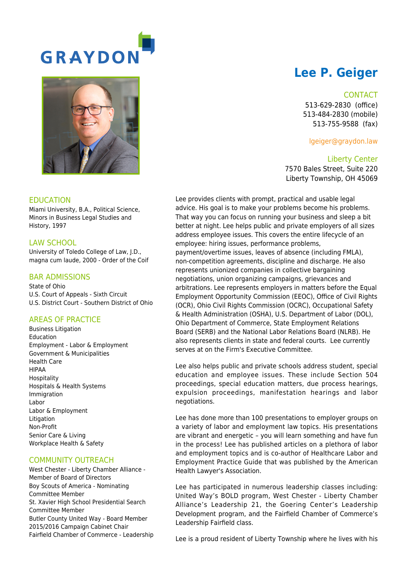

# **Lee P. Geiger**

#### **CONTACT**

513-629-2830 (office) 513-484-2830 (mobile) 513-755-9588 (fax)

lgeiger@graydon.law

Liberty Center 7570 Bales Street, Suite 220 Liberty Township, OH 45069

Lee provides clients with prompt, practical and usable legal advice. His goal is to make your problems become his problems. That way you can focus on running your business and sleep a bit better at night. Lee helps public and private employers of all sizes address employee issues. This covers the entire lifecycle of an employee: hiring issues, performance problems, payment/overtime issues, leaves of absence (including FMLA), non-competition agreements, discipline and discharge. He also represents unionized companies in collective bargaining negotiations, union organizing campaigns, grievances and arbitrations. Lee represents employers in matters before the Equal Employment Opportunity Commission (EEOC), Office of Civil Rights (OCR), Ohio Civil Rights Commission (OCRC), Occupational Safety & Health Administration (OSHA), U.S. Department of Labor (DOL), Ohio Department of Commerce, State Employment Relations Board (SERB) and the National Labor Relations Board (NLRB). He also represents clients in state and federal courts. Lee currently serves at on the Firm's Executive Committee.

Lee also helps public and private schools address student, special education and employee issues. These include Section 504 proceedings, special education matters, due process hearings, expulsion proceedings, manifestation hearings and labor negotiations.

Lee has done more than 100 presentations to employer groups on a variety of labor and employment law topics. His presentations are vibrant and energetic – you will learn something and have fun in the process! Lee has published articles on a plethora of labor and employment topics and is co-author of Healthcare Labor and Employment Practice Guide that was published by the American Health Lawyer's Association.

Lee has participated in numerous leadership classes including: United Way's BOLD program, West Chester - Liberty Chamber Alliance's Leadership 21, the Goering Center's Leadership Development program, and the Fairfield Chamber of Commerce's Leadership Fairfield class.

Lee is a proud resident of Liberty Township where he lives with his



#### EDUCATION

Miami University, B.A., Political Science, Minors in Business Legal Studies and History, 1997

## LAW SCHOOL

University of Toledo College of Law, J.D., magna cum laude, 2000 - Order of the Coif

## BAR ADMISSIONS

State of Ohio U.S. Court of Appeals - Sixth Circuit U.S. District Court - Southern District of Ohio

#### AREAS OF PRACTICE

Business Litigation Education Employment - Labor & Employment Government & Municipalities Health Care HIPAA Hospitality Hospitals & Health Systems Immigration Labor Labor & Employment Litigation Non-Profit Senior Care & Living Workplace Health & Safety

# COMMUNITY OUTREACH

West Chester - Liberty Chamber Alliance - Member of Board of Directors Boy Scouts of America - Nominating Committee Member St. Xavier High School Presidential Search Committee Member Butler County United Way - Board Member 2015/2016 Campaign Cabinet Chair Fairfield Chamber of Commerce - Leadership